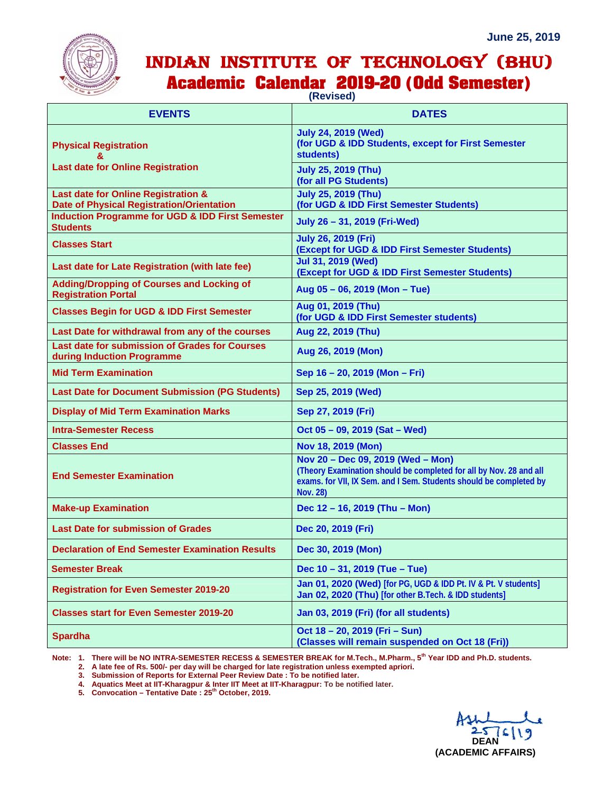## INDIAN INSTITUTE OF TECHNOLOGY (BHU) **Academic Calendar 2019-20 (Odd Semester)**

**(Revised)**

| <b>EVENTS</b>                                                                           | <b>DATES</b>                                                                                                                                                                                     |
|-----------------------------------------------------------------------------------------|--------------------------------------------------------------------------------------------------------------------------------------------------------------------------------------------------|
| <b>Physical Registration</b><br><b>Last date for Online Registration</b>                | <b>July 24, 2019 (Wed)</b><br>(for UGD & IDD Students, except for First Semester<br>students)                                                                                                    |
|                                                                                         | <b>July 25, 2019 (Thu)</b><br>(for all PG Students)                                                                                                                                              |
| Last date for Online Registration &<br><b>Date of Physical Registration/Orientation</b> | <b>July 25, 2019 (Thu)</b><br>(for UGD & IDD First Semester Students)                                                                                                                            |
| <b>Induction Programme for UGD &amp; IDD First Semester</b><br><b>Students</b>          | July 26 - 31, 2019 (Fri-Wed)                                                                                                                                                                     |
| <b>Classes Start</b>                                                                    | <b>July 26, 2019 (Fri)</b><br>(Except for UGD & IDD First Semester Students)                                                                                                                     |
| Last date for Late Registration (with late fee)                                         | <b>Jul 31, 2019 (Wed)</b><br>(Except for UGD & IDD First Semester Students)                                                                                                                      |
| <b>Adding/Dropping of Courses and Locking of</b><br><b>Registration Portal</b>          | Aug 05 - 06, 2019 (Mon - Tue)                                                                                                                                                                    |
| <b>Classes Begin for UGD &amp; IDD First Semester</b>                                   | Aug 01, 2019 (Thu)<br>(for UGD & IDD First Semester students)                                                                                                                                    |
| Last Date for withdrawal from any of the courses                                        | Aug 22, 2019 (Thu)                                                                                                                                                                               |
| Last date for submission of Grades for Courses<br>during Induction Programme            | Aug 26, 2019 (Mon)                                                                                                                                                                               |
| <b>Mid Term Examination</b>                                                             | Sep 16 - 20, 2019 (Mon - Fri)                                                                                                                                                                    |
| <b>Last Date for Document Submission (PG Students)</b>                                  | Sep 25, 2019 (Wed)                                                                                                                                                                               |
| <b>Display of Mid Term Examination Marks</b>                                            | Sep 27, 2019 (Fri)                                                                                                                                                                               |
| <b>Intra-Semester Recess</b>                                                            | Oct 05 - 09, 2019 (Sat - Wed)                                                                                                                                                                    |
| <b>Classes End</b>                                                                      | Nov 18, 2019 (Mon)                                                                                                                                                                               |
| <b>End Semester Examination</b>                                                         | Nov 20 - Dec 09, 2019 (Wed - Mon)<br>(Theory Examination should be completed for all by Nov. 28 and all<br>exams. for VII, IX Sem. and I Sem. Students should be completed by<br><b>Nov. 28)</b> |
| <b>Make-up Examination</b>                                                              | Dec 12 - 16, 2019 (Thu - Mon)                                                                                                                                                                    |
| <b>Last Date for submission of Grades</b>                                               | Dec 20, 2019 (Fri)                                                                                                                                                                               |
| <b>Declaration of End Semester Examination Results</b>                                  | Dec 30, 2019 (Mon)                                                                                                                                                                               |
| <b>Semester Break</b>                                                                   | Dec 10 - 31, 2019 (Tue - Tue)                                                                                                                                                                    |
| <b>Registration for Even Semester 2019-20</b>                                           | Jan 01, 2020 (Wed) [for PG, UGD & IDD Pt. IV & Pt. V students]<br>Jan 02, 2020 (Thu) [for other B.Tech. & IDD students]                                                                          |
| <b>Classes start for Even Semester 2019-20</b>                                          | Jan 03, 2019 (Fri) (for all students)                                                                                                                                                            |
| <b>Spardha</b>                                                                          | Oct 18 - 20, 2019 (Fri - Sun)<br>(Classes will remain suspended on Oct 18 (Fri))                                                                                                                 |

**Note: 1. There will be NO INTRA-SEMESTER RECESS & SEMESTER BREAK for M.Tech., M.Pharm., 5th Year IDD and Ph.D. students.** 

 **2. A late fee of Rs. 500/- per day will be charged for late registration unless exempted apriori.** 

 **3. Submission of Reports for External Peer Review Date : To be notified later.** 

 **4. Aquatics Meet at IIT-Kharagpur & Inter IIT Meet at IIT-Kharagpur: To be notified later.**

 **5. Convocation – Tentative Date : 25th October, 2019.**

**DEAN (ACADEMIC AFFAIRS)**